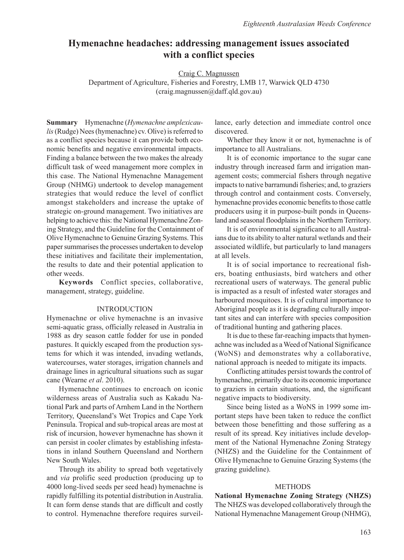# **Hymenachne headaches: addressing management issues associated with a conflict species**

Craig C. Magnussen

Department of Agriculture, Fisheries and Forestry, LMB 17, Warwick QLD 4730 (craig.magnussen@daff.qld.gov.au)

**Summary** Hymenachne (*Hymenachne amplexicaulis* (Rudge) Nees (hymenachne) cv. Olive) is referred to as a conflict species because it can provide both economic benefits and negative environmental impacts. Finding a balance between the two makes the already difficult task of weed management more complex in this case. The National Hymenachne Management Group (NHMG) undertook to develop management strategies that would reduce the level of conflict amongst stakeholders and increase the uptake of strategic on-ground management. Two initiatives are helping to achieve this: the National Hymenachne Zoning Strategy, and the Guideline for the Containment of Olive Hymenachne to Genuine Grazing Systems. This paper summarises the processes undertaken to develop these initiatives and facilitate their implementation, the results to date and their potential application to other weeds.

**Keywords** Conflict species, collaborative, management, strategy, guideline.

## INTRODUCTION

Hymenachne or olive hymenachne is an invasive semi-aquatic grass, officially released in Australia in 1988 as dry season cattle fodder for use in ponded pastures. It quickly escaped from the production systems for which it was intended, invading wetlands, watercourses, water storages, irrigation channels and drainage lines in agricultural situations such as sugar cane (Wearne *et al*. 2010).

Hymenachne continues to encroach on iconic wilderness areas of Australia such as Kakadu National Park and parts of Arnhem Land in the Northern Territory, Queensland's Wet Tropics and Cape York Peninsula. Tropical and sub-tropical areas are most at risk of incursion, however hymenachne has shown it can persist in cooler climates by establishing infestations in inland Southern Queensland and Northern New South Wales.

Through its ability to spread both vegetatively and *via* prolific seed production (producing up to 4000 long-lived seeds per seed head) hymenachne is rapidly fulfilling its potential distribution in Australia. It can form dense stands that are difficult and costly to control. Hymenachne therefore requires surveillance, early detection and immediate control once discovered.

Whether they know it or not, hymenachne is of importance to all Australians.

It is of economic importance to the sugar cane industry through increased farm and irrigation management costs; commercial fishers through negative impacts to native barramundi fisheries; and, to graziers through control and containment costs. Conversely, hymenachne provides economic benefits to those cattle producers using it in purpose-built ponds in Queensland and seasonal floodplains in the Northern Territory.

It is of environmental significance to all Australians due to its ability to alter natural wetlands and their associated wildlife, but particularly to land managers at all levels.

It is of social importance to recreational fishers, boating enthusiasts, bird watchers and other recreational users of waterways. The general public is impacted as a result of infested water storages and harboured mosquitoes. It is of cultural importance to Aboriginal people as it is degrading culturally important sites and can interfere with species composition of traditional hunting and gathering places.

It is due to these far-reaching impacts that hymenachne was included as a Weed of National Significance (WoNS) and demonstrates why a collaborative, national approach is needed to mitigate its impacts.

Conflicting attitudes persist towards the control of hymenachne, primarily due to its economic importance to graziers in certain situations, and, the significant negative impacts to biodiversity.

Since being listed as a WoNS in 1999 some important steps have been taken to reduce the conflict between those benefitting and those suffering as a result of its spread. Key initiatives include development of the National Hymenachne Zoning Strategy (NHZS) and the Guideline for the Containment of Olive Hymenachne to Genuine Grazing Systems (the grazing guideline).

#### **METHODS**

**National Hymenachne Zoning Strategy (NHZS)** The NHZS was developed collaboratively through the National Hymenachne Management Group (NHMG),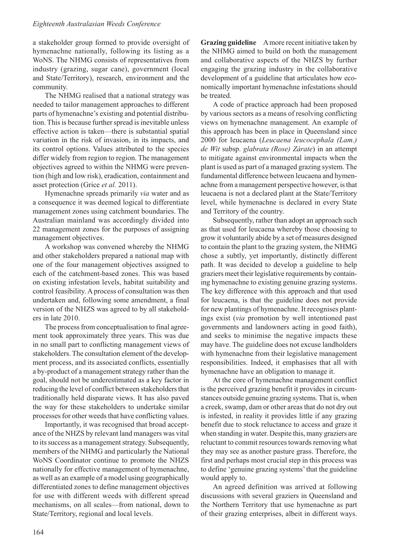### *Eighteenth Australasian Weeds Conference*

a stakeholder group formed to provide oversight of hymenachne nationally, following its listing as a WoNS. The NHMG consists of representatives from industry (grazing, sugar cane), government (local and State/Territory), research, environment and the community.

The NHMG realised that a national strategy was needed to tailor management approaches to different parts of hymenachne's existing and potential distribution. This is because further spread is inevitable unless effective action is taken—there is substantial spatial variation in the risk of invasion, in its impacts, and its control options. Values attributed to the species differ widely from region to region. The management objectives agreed to within the NHMG were prevention (high and low risk), eradication, containment and asset protection (Grice *et al.* 2011).

Hymenachne spreads primarily *via* water and as a consequence it was deemed logical to differentiate management zones using catchment boundaries. The Australian mainland was accordingly divided into 22 management zones for the purposes of assigning management objectives.

A workshop was convened whereby the NHMG and other stakeholders prepared a national map with one of the four management objectives assigned to each of the catchment-based zones. This was based on existing infestation levels, habitat suitability and control feasibility. A process of consultation was then undertaken and, following some amendment, a final version of the NHZS was agreed to by all stakeholders in late 2010.

The process from conceptualisation to final agreement took approximately three years. This was due in no small part to conflicting management views of stakeholders. The consultation element of the development process, and its associated conflicts, essentially a by-product of a management strategy rather than the goal, should not be underestimated as a key factor in reducing the level of conflict between stakeholders that traditionally held disparate views. It has also paved the way for these stakeholders to undertake similar processes for other weeds that have conflicting values.

Importantly, it was recognised that broad acceptance of the NHZS by relevant land managers was vital to its success as a management strategy. Subsequently, members of the NHMG and particularly the National WoNS Coordinator continue to promote the NHZS nationally for effective management of hymenachne, as well as an example of a model using geographically differentiated zones to define management objectives for use with different weeds with different spread mechanisms, on all scales—from national, down to State/Territory, regional and local levels.

**Grazing guideline** A more recent initiative taken by the NHMG aimed to build on both the management and collaborative aspects of the NHZS by further engaging the grazing industry in the collaborative development of a guideline that articulates how economically important hymenachne infestations should be treated.

A code of practice approach had been proposed by various sectors as a means of resolving conflicting views on hymenachne management. An example of this approach has been in place in Queensland since 2000 for leucaena (*Leucaena leucocephala (Lam.) de Wit* subsp. *glabrata (Rose) Zárate*) in an attempt to mitigate against environmental impacts when the plant is used as part of a managed grazing system. The fundamental difference between leucaena and hymenachne from a management perspective however, is that leucaena is not a declared plant at the State/Territory level, while hymenachne is declared in every State and Territory of the country.

Subsequently, rather than adopt an approach such as that used for leucaena whereby those choosing to grow it voluntarily abide by a set of measures designed to contain the plant to the grazing system, the NHMG chose a subtly, yet importantly, distinctly different path. It was decided to develop a guideline to help graziers meet their legislative requirements by containing hymenachne to existing genuine grazing systems. The key difference with this approach and that used for leucaena, is that the guideline does not provide for new plantings of hymenachne. It recognises plantings exist (*via* promotion by well intentioned past governments and landowners acting in good faith), and seeks to minimise the negative impacts these may have. The guideline does not excuse landholders with hymenachne from their legislative management responsibilities. Indeed, it emphasises that all with hymenachne have an obligation to manage it.

At the core of hymenachne management conflict is the perceived grazing benefit it provides in circumstances outside genuine grazing systems. That is, when a creek, swamp, dam or other areas that do not dry out is infested, in reality it provides little if any grazing benefit due to stock reluctance to access and graze it when standing in water. Despite this, many graziers are reluctant to commit resources towards removing what they may see as another pasture grass. Therefore, the first and perhaps most crucial step in this process was to define 'genuine grazing systems' that the guideline would apply to.

An agreed definition was arrived at following discussions with several graziers in Queensland and the Northern Territory that use hymenachne as part of their grazing enterprises, albeit in different ways.